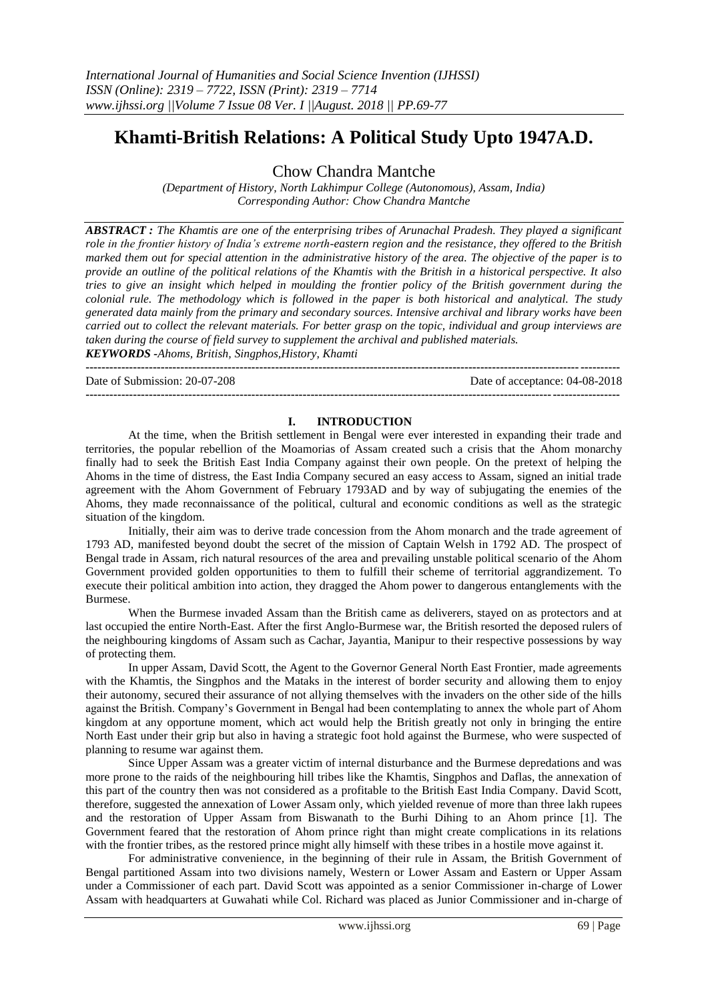# **Khamti-British Relations: A Political Study Upto 1947A.D.**

Chow Chandra Mantche

*(Department of History, North Lakhimpur College (Autonomous), Assam, India) Corresponding Author: Chow Chandra Mantche*

*ABSTRACT : The Khamtis are one of the enterprising tribes of Arunachal Pradesh. They played a significant role in the frontier history of India's extreme north-eastern region and the resistance, they offered to the British marked them out for special attention in the administrative history of the area. The objective of the paper is to provide an outline of the political relations of the Khamtis with the British in a historical perspective. It also tries to give an insight which helped in moulding the frontier policy of the British government during the colonial rule. The methodology which is followed in the paper is both historical and analytical. The study generated data mainly from the primary and secondary sources. Intensive archival and library works have been carried out to collect the relevant materials. For better grasp on the topic, individual and group interviews are taken during the course of field survey to supplement the archival and published materials. KEYWORDS -Ahoms, British, Singphos,History, Khamti*

**---------------------------------------------------------------------------------------------------------------------------------------**

Date of Submission: 20-07-208 Date of acceptance: 04-08-2018

## **I. INTRODUCTION**

**---------------------------------------------------------------------------------------------------------------------------------------**

At the time, when the British settlement in Bengal were ever interested in expanding their trade and territories, the popular rebellion of the Moamorias of Assam created such a crisis that the Ahom monarchy finally had to seek the British East India Company against their own people. On the pretext of helping the Ahoms in the time of distress, the East India Company secured an easy access to Assam, signed an initial trade agreement with the Ahom Government of February 1793AD and by way of subjugating the enemies of the Ahoms, they made reconnaissance of the political, cultural and economic conditions as well as the strategic situation of the kingdom.

Initially, their aim was to derive trade concession from the Ahom monarch and the trade agreement of 1793 AD, manifested beyond doubt the secret of the mission of Captain Welsh in 1792 AD. The prospect of Bengal trade in Assam, rich natural resources of the area and prevailing unstable political scenario of the Ahom Government provided golden opportunities to them to fulfill their scheme of territorial aggrandizement. To execute their political ambition into action, they dragged the Ahom power to dangerous entanglements with the Burmese.

When the Burmese invaded Assam than the British came as deliverers, stayed on as protectors and at last occupied the entire North-East. After the first Anglo-Burmese war, the British resorted the deposed rulers of the neighbouring kingdoms of Assam such as Cachar, Jayantia, Manipur to their respective possessions by way of protecting them.

In upper Assam, David Scott, the Agent to the Governor General North East Frontier, made agreements with the Khamtis, the Singphos and the Mataks in the interest of border security and allowing them to enjoy their autonomy, secured their assurance of not allying themselves with the invaders on the other side of the hills against the British. Company"s Government in Bengal had been contemplating to annex the whole part of Ahom kingdom at any opportune moment, which act would help the British greatly not only in bringing the entire North East under their grip but also in having a strategic foot hold against the Burmese, who were suspected of planning to resume war against them.

Since Upper Assam was a greater victim of internal disturbance and the Burmese depredations and was more prone to the raids of the neighbouring hill tribes like the Khamtis, Singphos and Daflas, the annexation of this part of the country then was not considered as a profitable to the British East India Company. David Scott, therefore, suggested the annexation of Lower Assam only, which yielded revenue of more than three lakh rupees and the restoration of Upper Assam from Biswanath to the Burhi Dihing to an Ahom prince [1]. The Government feared that the restoration of Ahom prince right than might create complications in its relations with the frontier tribes, as the restored prince might ally himself with these tribes in a hostile move against it.

For administrative convenience, in the beginning of their rule in Assam, the British Government of Bengal partitioned Assam into two divisions namely, Western or Lower Assam and Eastern or Upper Assam under a Commissioner of each part. David Scott was appointed as a senior Commissioner in-charge of Lower Assam with headquarters at Guwahati while Col. Richard was placed as Junior Commissioner and in-charge of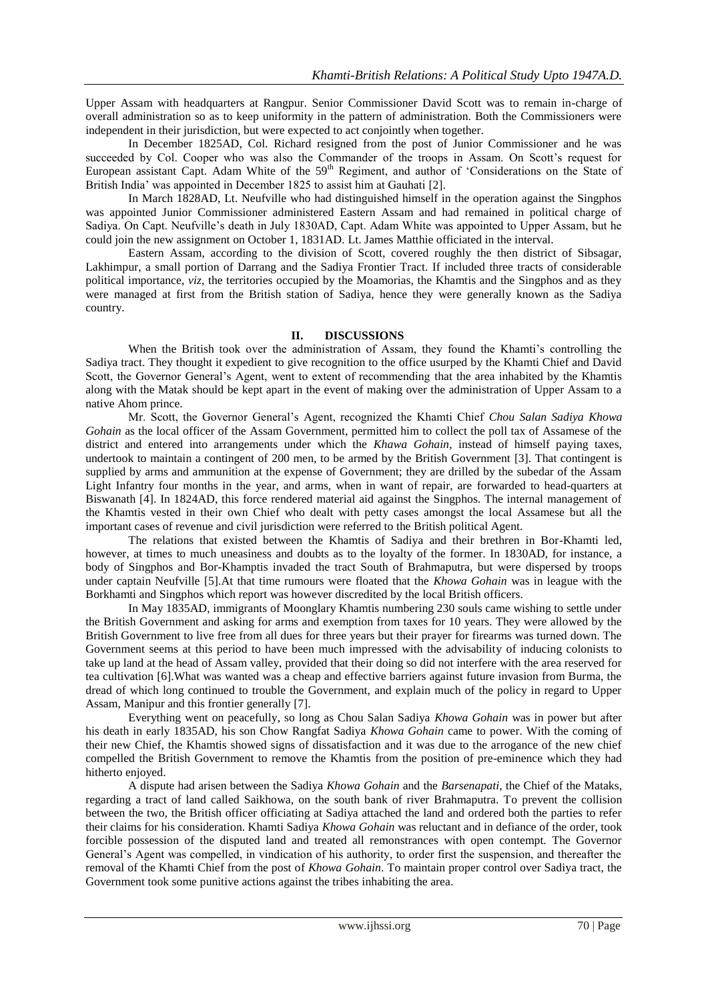Upper Assam with headquarters at Rangpur. Senior Commissioner David Scott was to remain in-charge of overall administration so as to keep uniformity in the pattern of administration. Both the Commissioners were independent in their jurisdiction, but were expected to act conjointly when together.

In December 1825AD, Col. Richard resigned from the post of Junior Commissioner and he was succeeded by Col. Cooper who was also the Commander of the troops in Assam. On Scott's request for European assistant Capt. Adam White of the 59<sup>th</sup> Regiment, and author of 'Considerations on the State of British India" was appointed in December 1825 to assist him at Gauhati [2].

In March 1828AD, Lt. Neufville who had distinguished himself in the operation against the Singphos was appointed Junior Commissioner administered Eastern Assam and had remained in political charge of Sadiya. On Capt. Neufville"s death in July 1830AD, Capt. Adam White was appointed to Upper Assam, but he could join the new assignment on October 1, 1831AD. Lt. James Matthie officiated in the interval.

Eastern Assam, according to the division of Scott, covered roughly the then district of Sibsagar, Lakhimpur, a small portion of Darrang and the Sadiya Frontier Tract. If included three tracts of considerable political importance, *viz*, the territories occupied by the Moamorias, the Khamtis and the Singphos and as they were managed at first from the British station of Sadiya, hence they were generally known as the Sadiya country.

### **II. DISCUSSIONS**

When the British took over the administration of Assam, they found the Khamti's controlling the Sadiya tract. They thought it expedient to give recognition to the office usurped by the Khamti Chief and David Scott, the Governor General's Agent, went to extent of recommending that the area inhabited by the Khamtis along with the Matak should be kept apart in the event of making over the administration of Upper Assam to a native Ahom prince.

Mr. Scott, the Governor General"s Agent, recognized the Khamti Chief *Chou Salan Sadiya Khowa Gohain* as the local officer of the Assam Government, permitted him to collect the poll tax of Assamese of the district and entered into arrangements under which the *Khawa Gohain*, instead of himself paying taxes, undertook to maintain a contingent of 200 men, to be armed by the British Government [3]. That contingent is supplied by arms and ammunition at the expense of Government; they are drilled by the subedar of the Assam Light Infantry four months in the year, and arms, when in want of repair, are forwarded to head-quarters at Biswanath [4]. In 1824AD, this force rendered material aid against the Singphos. The internal management of the Khamtis vested in their own Chief who dealt with petty cases amongst the local Assamese but all the important cases of revenue and civil jurisdiction were referred to the British political Agent.

The relations that existed between the Khamtis of Sadiya and their brethren in Bor-Khamti led, however, at times to much uneasiness and doubts as to the loyalty of the former. In 1830AD, for instance, a body of Singphos and Bor-Khamptis invaded the tract South of Brahmaputra, but were dispersed by troops under captain Neufville [5].At that time rumours were floated that the *Khowa Gohain* was in league with the Borkhamti and Singphos which report was however discredited by the local British officers.

In May 1835AD, immigrants of Moonglary Khamtis numbering 230 souls came wishing to settle under the British Government and asking for arms and exemption from taxes for 10 years. They were allowed by the British Government to live free from all dues for three years but their prayer for firearms was turned down. The Government seems at this period to have been much impressed with the advisability of inducing colonists to take up land at the head of Assam valley, provided that their doing so did not interfere with the area reserved for tea cultivation [6].What was wanted was a cheap and effective barriers against future invasion from Burma, the dread of which long continued to trouble the Government, and explain much of the policy in regard to Upper Assam, Manipur and this frontier generally [7].

Everything went on peacefully, so long as Chou Salan Sadiya *Khowa Gohain* was in power but after his death in early 1835AD, his son Chow Rangfat Sadiya *Khowa Gohain* came to power. With the coming of their new Chief, the Khamtis showed signs of dissatisfaction and it was due to the arrogance of the new chief compelled the British Government to remove the Khamtis from the position of pre-eminence which they had hitherto enjoyed.

A dispute had arisen between the Sadiya *Khowa Gohain* and the *Barsenapati*, the Chief of the Mataks, regarding a tract of land called Saikhowa, on the south bank of river Brahmaputra. To prevent the collision between the two, the British officer officiating at Sadiya attached the land and ordered both the parties to refer their claims for his consideration. Khamti Sadiya *Khowa Gohain* was reluctant and in defiance of the order, took forcible possession of the disputed land and treated all remonstrances with open contempt. The Governor General"s Agent was compelled, in vindication of his authority, to order first the suspension, and thereafter the removal of the Khamti Chief from the post of *Khowa Gohain*. To maintain proper control over Sadiya tract, the Government took some punitive actions against the tribes inhabiting the area.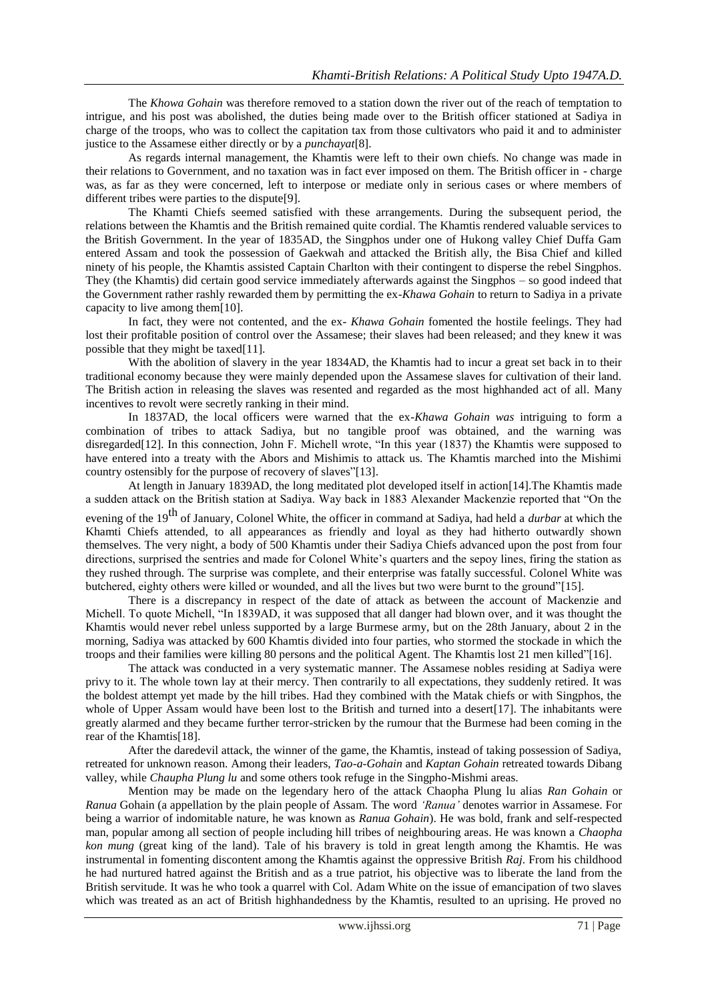The *Khowa Gohain* was therefore removed to a station down the river out of the reach of temptation to intrigue, and his post was abolished, the duties being made over to the British officer stationed at Sadiya in charge of the troops, who was to collect the capitation tax from those cultivators who paid it and to administer justice to the Assamese either directly or by a *punchayat*[8].

As regards internal management, the Khamtis were left to their own chiefs. No change was made in their relations to Government, and no taxation was in fact ever imposed on them. The British officer in - charge was, as far as they were concerned, left to interpose or mediate only in serious cases or where members of different tribes were parties to the dispute[9].

The Khamti Chiefs seemed satisfied with these arrangements. During the subsequent period, the relations between the Khamtis and the British remained quite cordial. The Khamtis rendered valuable services to the British Government. In the year of 1835AD, the Singphos under one of Hukong valley Chief Duffa Gam entered Assam and took the possession of Gaekwah and attacked the British ally, the Bisa Chief and killed ninety of his people, the Khamtis assisted Captain Charlton with their contingent to disperse the rebel Singphos. They (the Khamtis) did certain good service immediately afterwards against the Singphos – so good indeed that the Government rather rashly rewarded them by permitting the ex-*Khawa Gohain* to return to Sadiya in a private capacity to live among them[10].

In fact, they were not contented, and the ex- *Khawa Gohain* fomented the hostile feelings. They had lost their profitable position of control over the Assamese; their slaves had been released; and they knew it was possible that they might be taxed[11].

With the abolition of slavery in the year 1834AD, the Khamtis had to incur a great set back in to their traditional economy because they were mainly depended upon the Assamese slaves for cultivation of their land. The British action in releasing the slaves was resented and regarded as the most highhanded act of all. Many incentives to revolt were secretly ranking in their mind.

In 1837AD, the local officers were warned that the ex-*Khawa Gohain was* intriguing to form a combination of tribes to attack Sadiya, but no tangible proof was obtained, and the warning was disregarded[12]. In this connection, John F. Michell wrote, "In this year (1837) the Khamtis were supposed to have entered into a treaty with the Abors and Mishimis to attack us. The Khamtis marched into the Mishimi country ostensibly for the purpose of recovery of slaves"[13].

At length in January 1839AD, the long meditated plot developed itself in action[14].The Khamtis made a sudden attack on the British station at Sadiya. Way back in 1883 Alexander Mackenzie reported that "On the

evening of the 19<sup>th</sup> of January, Colonel White, the officer in command at Sadiya, had held a *durbar* at which the Khamti Chiefs attended, to all appearances as friendly and loyal as they had hitherto outwardly shown themselves. The very night, a body of 500 Khamtis under their Sadiya Chiefs advanced upon the post from four directions, surprised the sentries and made for Colonel White"s quarters and the sepoy lines, firing the station as they rushed through. The surprise was complete, and their enterprise was fatally successful. Colonel White was butchered, eighty others were killed or wounded, and all the lives but two were burnt to the ground"[15].

There is a discrepancy in respect of the date of attack as between the account of Mackenzie and Michell. To quote Michell, "In 1839AD, it was supposed that all danger had blown over, and it was thought the Khamtis would never rebel unless supported by a large Burmese army, but on the 28th January, about 2 in the morning, Sadiya was attacked by 600 Khamtis divided into four parties, who stormed the stockade in which the troops and their families were killing 80 persons and the political Agent. The Khamtis lost 21 men killed"[16].

The attack was conducted in a very systematic manner. The Assamese nobles residing at Sadiya were privy to it. The whole town lay at their mercy. Then contrarily to all expectations, they suddenly retired. It was the boldest attempt yet made by the hill tribes. Had they combined with the Matak chiefs or with Singphos, the whole of Upper Assam would have been lost to the British and turned into a desert [17]. The inhabitants were greatly alarmed and they became further terror-stricken by the rumour that the Burmese had been coming in the rear of the Khamtis[18].

After the daredevil attack, the winner of the game, the Khamtis, instead of taking possession of Sadiya, retreated for unknown reason. Among their leaders, *Tao-a-Gohain* and *Kaptan Gohain* retreated towards Dibang valley, while *Chaupha Plung lu* and some others took refuge in the Singpho-Mishmi areas.

Mention may be made on the legendary hero of the attack Chaopha Plung lu alias *Ran Gohain* or *Ranua* Gohain (a appellation by the plain people of Assam. The word *'Ranua'* denotes warrior in Assamese. For being a warrior of indomitable nature, he was known as *Ranua Gohain*). He was bold, frank and self-respected man, popular among all section of people including hill tribes of neighbouring areas. He was known a *Chaopha kon mung* (great king of the land). Tale of his bravery is told in great length among the Khamtis. He was instrumental in fomenting discontent among the Khamtis against the oppressive British *Raj*. From his childhood he had nurtured hatred against the British and as a true patriot, his objective was to liberate the land from the British servitude. It was he who took a quarrel with Col. Adam White on the issue of emancipation of two slaves which was treated as an act of British highhandedness by the Khamtis, resulted to an uprising. He proved no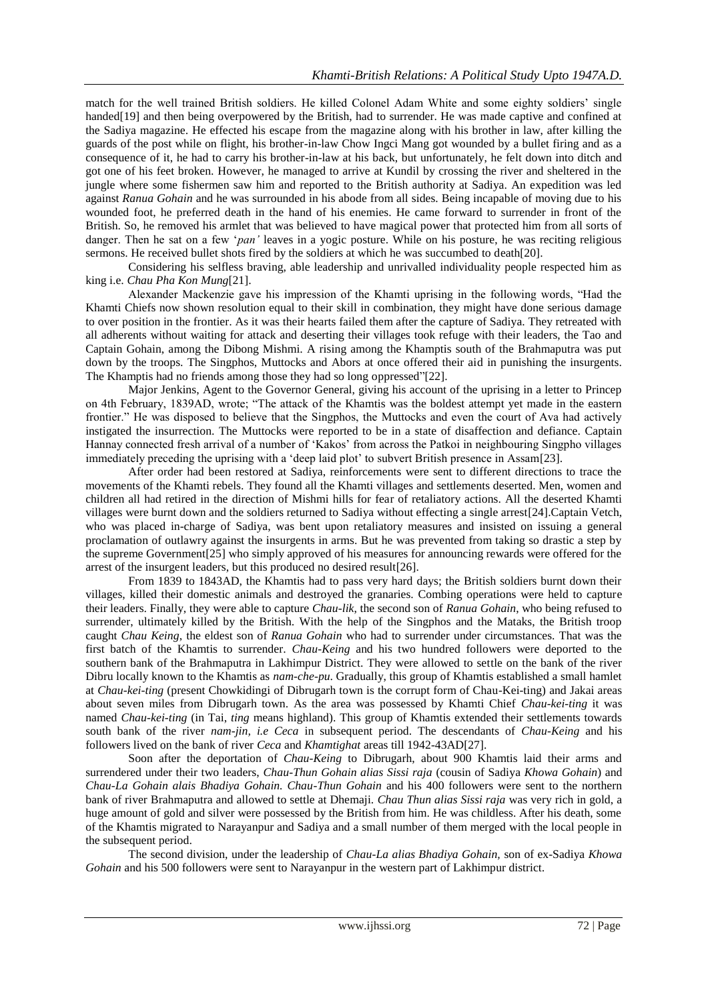match for the well trained British soldiers. He killed Colonel Adam White and some eighty soldiers" single handed [19] and then being overpowered by the British, had to surrender. He was made captive and confined at the Sadiya magazine. He effected his escape from the magazine along with his brother in law, after killing the guards of the post while on flight, his brother-in-law Chow Ingci Mang got wounded by a bullet firing and as a consequence of it, he had to carry his brother-in-law at his back, but unfortunately, he felt down into ditch and got one of his feet broken. However, he managed to arrive at Kundil by crossing the river and sheltered in the jungle where some fishermen saw him and reported to the British authority at Sadiya. An expedition was led against *Ranua Gohain* and he was surrounded in his abode from all sides. Being incapable of moving due to his wounded foot, he preferred death in the hand of his enemies. He came forward to surrender in front of the British. So, he removed his armlet that was believed to have magical power that protected him from all sorts of danger. Then he sat on a few "*pan'* leaves in a yogic posture. While on his posture, he was reciting religious sermons. He received bullet shots fired by the soldiers at which he was succumbed to death[20].

Considering his selfless braving, able leadership and unrivalled individuality people respected him as king i.e. *Chau Pha Kon Mung*[21].

Alexander Mackenzie gave his impression of the Khamti uprising in the following words, "Had the Khamti Chiefs now shown resolution equal to their skill in combination, they might have done serious damage to over position in the frontier. As it was their hearts failed them after the capture of Sadiya. They retreated with all adherents without waiting for attack and deserting their villages took refuge with their leaders, the Tao and Captain Gohain, among the Dibong Mishmi. A rising among the Khamptis south of the Brahmaputra was put down by the troops. The Singphos, Muttocks and Abors at once offered their aid in punishing the insurgents. The Khamptis had no friends among those they had so long oppressed"[22].

Major Jenkins, Agent to the Governor General, giving his account of the uprising in a letter to Princep on 4th February, 1839AD, wrote; "The attack of the Khamtis was the boldest attempt yet made in the eastern frontier." He was disposed to believe that the Singphos, the Muttocks and even the court of Ava had actively instigated the insurrection. The Muttocks were reported to be in a state of disaffection and defiance. Captain Hannay connected fresh arrival of a number of "Kakos" from across the Patkoi in neighbouring Singpho villages immediately preceding the uprising with a "deep laid plot" to subvert British presence in Assam[23].

After order had been restored at Sadiya, reinforcements were sent to different directions to trace the movements of the Khamti rebels. They found all the Khamti villages and settlements deserted. Men, women and children all had retired in the direction of Mishmi hills for fear of retaliatory actions. All the deserted Khamti villages were burnt down and the soldiers returned to Sadiya without effecting a single arrest[24].Captain Vetch, who was placed in-charge of Sadiya, was bent upon retaliatory measures and insisted on issuing a general proclamation of outlawry against the insurgents in arms. But he was prevented from taking so drastic a step by the supreme Government[25] who simply approved of his measures for announcing rewards were offered for the arrest of the insurgent leaders, but this produced no desired result[26].

From 1839 to 1843AD, the Khamtis had to pass very hard days; the British soldiers burnt down their villages, killed their domestic animals and destroyed the granaries. Combing operations were held to capture their leaders. Finally, they were able to capture *Chau-lik*, the second son of *Ranua Gohain*, who being refused to surrender, ultimately killed by the British. With the help of the Singphos and the Mataks, the British troop caught *Chau Keing*, the eldest son of *Ranua Gohain* who had to surrender under circumstances. That was the first batch of the Khamtis to surrender. *Chau-Keing* and his two hundred followers were deported to the southern bank of the Brahmaputra in Lakhimpur District. They were allowed to settle on the bank of the river Dibru locally known to the Khamtis as *nam-che-pu*. Gradually, this group of Khamtis established a small hamlet at *Chau-kei-ting* (present Chowkidingi of Dibrugarh town is the corrupt form of Chau-Kei-ting) and Jakai areas about seven miles from Dibrugarh town. As the area was possessed by Khamti Chief *Chau-kei-ting* it was named *Chau-kei-ting* (in Tai, *ting* means highland). This group of Khamtis extended their settlements towards south bank of the river *nam-jin, i.e Ceca* in subsequent period. The descendants of *Chau-Keing* and his followers lived on the bank of river *Ceca* and *Khamtighat* areas till 1942-43AD[27].

Soon after the deportation of *Chau-Keing* to Dibrugarh, about 900 Khamtis laid their arms and surrendered under their two leaders, *Chau-Thun Gohain alias Sissi raja* (cousin of Sadiya *Khowa Gohain*) and *Chau-La Gohain alais Bhadiya Gohain. Chau-Thun Gohain* and his 400 followers were sent to the northern bank of river Brahmaputra and allowed to settle at Dhemaji. *Chau Thun alias Sissi raja* was very rich in gold, a huge amount of gold and silver were possessed by the British from him. He was childless. After his death, some of the Khamtis migrated to Narayanpur and Sadiya and a small number of them merged with the local people in the subsequent period.

The second division, under the leadership of *Chau-La alias Bhadiya Gohain,* son of ex-Sadiya *Khowa Gohain* and his 500 followers were sent to Narayanpur in the western part of Lakhimpur district*.*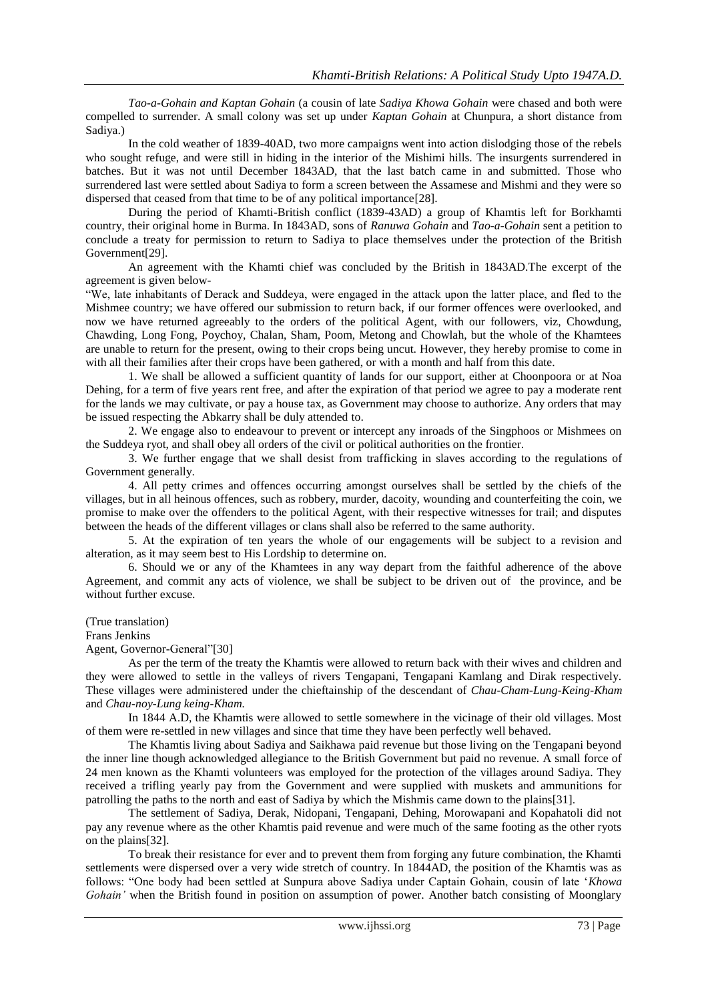*Tao-a-Gohain and Kaptan Gohain* (a cousin of late *Sadiya Khowa Gohain* were chased and both were compelled to surrender. A small colony was set up under *Kaptan Gohain* at Chunpura, a short distance from Sadiya.)

In the cold weather of 1839-40AD, two more campaigns went into action dislodging those of the rebels who sought refuge, and were still in hiding in the interior of the Mishimi hills. The insurgents surrendered in batches. But it was not until December 1843AD, that the last batch came in and submitted. Those who surrendered last were settled about Sadiya to form a screen between the Assamese and Mishmi and they were so dispersed that ceased from that time to be of any political importance[28].

During the period of Khamti-British conflict (1839-43AD) a group of Khamtis left for Borkhamti country, their original home in Burma. In 1843AD, sons of *Ranuwa Gohain* and *Tao-a-Gohain* sent a petition to conclude a treaty for permission to return to Sadiya to place themselves under the protection of the British Government[29].

An agreement with the Khamti chief was concluded by the British in 1843AD.The excerpt of the agreement is given below-

"We, late inhabitants of Derack and Suddeya, were engaged in the attack upon the latter place, and fled to the Mishmee country; we have offered our submission to return back, if our former offences were overlooked, and now we have returned agreeably to the orders of the political Agent, with our followers, viz, Chowdung, Chawding, Long Fong, Poychoy, Chalan, Sham, Poom, Metong and Chowlah, but the whole of the Khamtees are unable to return for the present, owing to their crops being uncut. However, they hereby promise to come in with all their families after their crops have been gathered, or with a month and half from this date.

1. We shall be allowed a sufficient quantity of lands for our support, either at Choonpoora or at Noa Dehing, for a term of five years rent free, and after the expiration of that period we agree to pay a moderate rent for the lands we may cultivate, or pay a house tax, as Government may choose to authorize. Any orders that may be issued respecting the Abkarry shall be duly attended to.

2. We engage also to endeavour to prevent or intercept any inroads of the Singphoos or Mishmees on the Suddeya ryot, and shall obey all orders of the civil or political authorities on the frontier.

3. We further engage that we shall desist from trafficking in slaves according to the regulations of Government generally.

4. All petty crimes and offences occurring amongst ourselves shall be settled by the chiefs of the villages, but in all heinous offences, such as robbery, murder, dacoity, wounding and counterfeiting the coin, we promise to make over the offenders to the political Agent, with their respective witnesses for trail; and disputes between the heads of the different villages or clans shall also be referred to the same authority.

5. At the expiration of ten years the whole of our engagements will be subject to a revision and alteration, as it may seem best to His Lordship to determine on.

6. Should we or any of the Khamtees in any way depart from the faithful adherence of the above Agreement, and commit any acts of violence, we shall be subject to be driven out of the province, and be without further excuse.

(True translation)

Frans Jenkins

Agent, Governor-General"[30]

As per the term of the treaty the Khamtis were allowed to return back with their wives and children and they were allowed to settle in the valleys of rivers Tengapani, Tengapani Kamlang and Dirak respectively. These villages were administered under the chieftainship of the descendant of *Chau-Cham-Lung-Keing-Kham* and *Chau-noy-Lung keing-Kham.*

In 1844 A.D, the Khamtis were allowed to settle somewhere in the vicinage of their old villages. Most of them were re-settled in new villages and since that time they have been perfectly well behaved.

The Khamtis living about Sadiya and Saikhawa paid revenue but those living on the Tengapani beyond the inner line though acknowledged allegiance to the British Government but paid no revenue. A small force of 24 men known as the Khamti volunteers was employed for the protection of the villages around Sadiya. They received a trifling yearly pay from the Government and were supplied with muskets and ammunitions for patrolling the paths to the north and east of Sadiya by which the Mishmis came down to the plains[31].

The settlement of Sadiya, Derak, Nidopani, Tengapani, Dehing, Morowapani and Kopahatoli did not pay any revenue where as the other Khamtis paid revenue and were much of the same footing as the other ryots on the plains[32].

To break their resistance for ever and to prevent them from forging any future combination, the Khamti settlements were dispersed over a very wide stretch of country. In 1844AD, the position of the Khamtis was as follows: "One body had been settled at Sunpura above Sadiya under Captain Gohain, cousin of late "*Khowa Gohain'* when the British found in position on assumption of power. Another batch consisting of Moonglary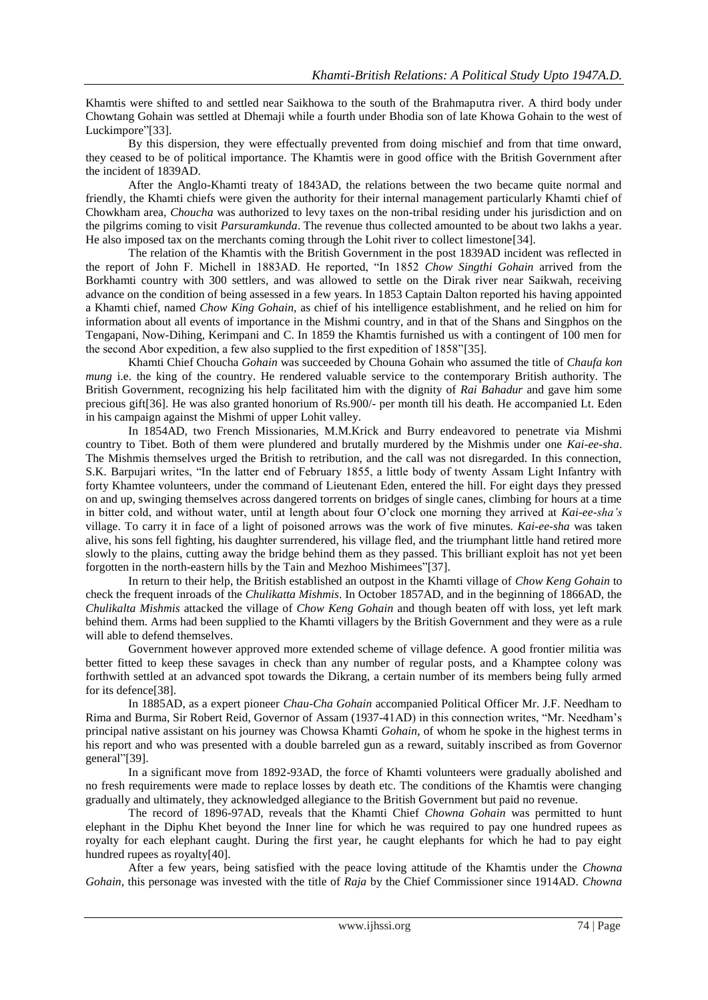Khamtis were shifted to and settled near Saikhowa to the south of the Brahmaputra river. A third body under Chowtang Gohain was settled at Dhemaji while a fourth under Bhodia son of late Khowa Gohain to the west of Luckimpore"[33].

By this dispersion, they were effectually prevented from doing mischief and from that time onward, they ceased to be of political importance. The Khamtis were in good office with the British Government after the incident of 1839AD.

After the Anglo-Khamti treaty of 1843AD, the relations between the two became quite normal and friendly, the Khamti chiefs were given the authority for their internal management particularly Khamti chief of Chowkham area, *Choucha* was authorized to levy taxes on the non-tribal residing under his jurisdiction and on the pilgrims coming to visit *Parsuramkunda*. The revenue thus collected amounted to be about two lakhs a year. He also imposed tax on the merchants coming through the Lohit river to collect limestone[34].

The relation of the Khamtis with the British Government in the post 1839AD incident was reflected in the report of John F. Michell in 1883AD. He reported, "In 1852 *Chow Singthi Gohain* arrived from the Borkhamti country with 300 settlers, and was allowed to settle on the Dirak river near Saikwah, receiving advance on the condition of being assessed in a few years. In 1853 Captain Dalton reported his having appointed a Khamti chief, named *Chow King Gohain,* as chief of his intelligence establishment, and he relied on him for information about all events of importance in the Mishmi country, and in that of the Shans and Singphos on the Tengapani, Now-Dihing, Kerimpani and C. In 1859 the Khamtis furnished us with a contingent of 100 men for the second Abor expedition, a few also supplied to the first expedition of 1858"[35].

Khamti Chief Choucha *Gohain* was succeeded by Chouna Gohain who assumed the title of *Chaufa kon mung* i.e. the king of the country. He rendered valuable service to the contemporary British authority. The British Government, recognizing his help facilitated him with the dignity of *Rai Bahadur* and gave him some precious gift[36]. He was also granted honorium of Rs.900/- per month till his death. He accompanied Lt. Eden in his campaign against the Mishmi of upper Lohit valley.

In 1854AD, two French Missionaries, M.M.Krick and Burry endeavored to penetrate via Mishmi country to Tibet. Both of them were plundered and brutally murdered by the Mishmis under one *Kai-ee-sha*. The Mishmis themselves urged the British to retribution, and the call was not disregarded. In this connection, S.K. Barpujari writes, "In the latter end of February 1855, a little body of twenty Assam Light Infantry with forty Khamtee volunteers, under the command of Lieutenant Eden, entered the hill. For eight days they pressed on and up, swinging themselves across dangered torrents on bridges of single canes, climbing for hours at a time in bitter cold, and without water, until at length about four O"clock one morning they arrived at *Kai-ee-sha's* village. To carry it in face of a light of poisoned arrows was the work of five minutes. *Kai-ee-sha* was taken alive, his sons fell fighting, his daughter surrendered, his village fled, and the triumphant little hand retired more slowly to the plains, cutting away the bridge behind them as they passed. This brilliant exploit has not yet been forgotten in the north-eastern hills by the Tain and Mezhoo Mishimees"[37].

In return to their help, the British established an outpost in the Khamti village of *Chow Keng Gohain* to check the frequent inroads of the *Chulikatta Mishmis*. In October 1857AD, and in the beginning of 1866AD, the *Chulikalta Mishmis* attacked the village of *Chow Keng Gohain* and though beaten off with loss, yet left mark behind them. Arms had been supplied to the Khamti villagers by the British Government and they were as a rule will able to defend themselves.

Government however approved more extended scheme of village defence. A good frontier militia was better fitted to keep these savages in check than any number of regular posts, and a Khamptee colony was forthwith settled at an advanced spot towards the Dikrang, a certain number of its members being fully armed for its defence[38].

In 1885AD, as a expert pioneer *Chau-Cha Gohain* accompanied Political Officer Mr. J.F. Needham to Rima and Burma, Sir Robert Reid, Governor of Assam (1937-41AD) in this connection writes, "Mr. Needham"s principal native assistant on his journey was Chowsa Khamti *Gohain*, of whom he spoke in the highest terms in his report and who was presented with a double barreled gun as a reward, suitably inscribed as from Governor general"[39].

In a significant move from 1892-93AD, the force of Khamti volunteers were gradually abolished and no fresh requirements were made to replace losses by death etc. The conditions of the Khamtis were changing gradually and ultimately, they acknowledged allegiance to the British Government but paid no revenue.

The record of 1896-97AD, reveals that the Khamti Chief *Chowna Gohain* was permitted to hunt elephant in the Diphu Khet beyond the Inner line for which he was required to pay one hundred rupees as royalty for each elephant caught. During the first year, he caught elephants for which he had to pay eight hundred rupees as royalty[40].

After a few years, being satisfied with the peace loving attitude of the Khamtis under the *Chowna Gohain*, this personage was invested with the title of *Raja* by the Chief Commissioner since 1914AD. *Chowna*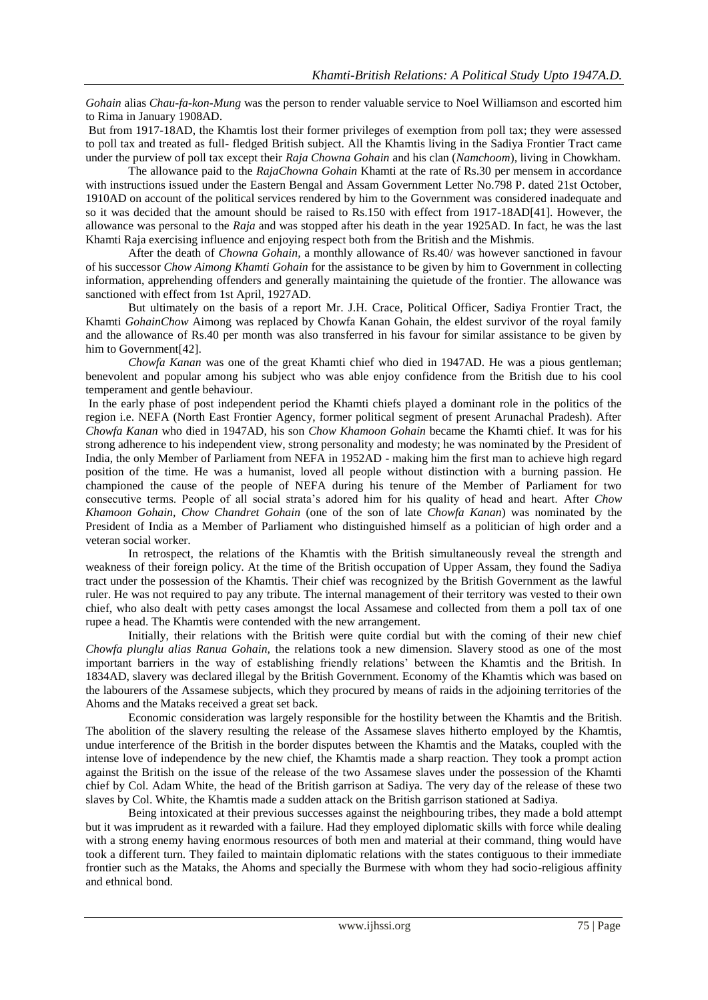*Gohain* alias *Chau-fa-kon-Mung* was the person to render valuable service to Noel Williamson and escorted him to Rima in January 1908AD.

But from 1917-18AD, the Khamtis lost their former privileges of exemption from poll tax; they were assessed to poll tax and treated as full- fledged British subject. All the Khamtis living in the Sadiya Frontier Tract came under the purview of poll tax except their *Raja Chowna Gohain* and his clan (*Namchoom*), living in Chowkham.

The allowance paid to the *RajaChowna Gohain* Khamti at the rate of Rs.30 per mensem in accordance with instructions issued under the Eastern Bengal and Assam Government Letter No.798 P. dated 21st October, 1910AD on account of the political services rendered by him to the Government was considered inadequate and so it was decided that the amount should be raised to Rs.150 with effect from 1917-18AD[41]. However, the allowance was personal to the *Raja* and was stopped after his death in the year 1925AD. In fact, he was the last Khamti Raja exercising influence and enjoying respect both from the British and the Mishmis.

After the death of *Chowna Gohain,* a monthly allowance of Rs.40/ was however sanctioned in favour of his successor *Chow Aimong Khamti Gohain* for the assistance to be given by him to Government in collecting information, apprehending offenders and generally maintaining the quietude of the frontier. The allowance was sanctioned with effect from 1st April, 1927AD.

But ultimately on the basis of a report Mr. J.H. Crace, Political Officer, Sadiya Frontier Tract, the Khamti *GohainChow* Aimong was replaced by Chowfa Kanan Gohain, the eldest survivor of the royal family and the allowance of Rs.40 per month was also transferred in his favour for similar assistance to be given by him to Government[42].

*Chowfa Kanan* was one of the great Khamti chief who died in 1947AD. He was a pious gentleman; benevolent and popular among his subject who was able enjoy confidence from the British due to his cool temperament and gentle behaviour.

In the early phase of post independent period the Khamti chiefs played a dominant role in the politics of the region i.e. NEFA (North East Frontier Agency, former political segment of present Arunachal Pradesh). After *Chowfa Kanan* who died in 1947AD, his son *Chow Khamoon Gohain* became the Khamti chief. It was for his strong adherence to his independent view, strong personality and modesty; he was nominated by the President of India, the only Member of Parliament from NEFA in 1952AD - making him the first man to achieve high regard position of the time. He was a humanist, loved all people without distinction with a burning passion. He championed the cause of the people of NEFA during his tenure of the Member of Parliament for two consecutive terms. People of all social strata"s adored him for his quality of head and heart. After *Chow Khamoon Gohain, Chow Chandret Gohain* (one of the son of late *Chowfa Kanan*) was nominated by the President of India as a Member of Parliament who distinguished himself as a politician of high order and a veteran social worker.

In retrospect, the relations of the Khamtis with the British simultaneously reveal the strength and weakness of their foreign policy. At the time of the British occupation of Upper Assam, they found the Sadiya tract under the possession of the Khamtis. Their chief was recognized by the British Government as the lawful ruler. He was not required to pay any tribute. The internal management of their territory was vested to their own chief, who also dealt with petty cases amongst the local Assamese and collected from them a poll tax of one rupee a head. The Khamtis were contended with the new arrangement.

Initially, their relations with the British were quite cordial but with the coming of their new chief *Chowfa plunglu alias Ranua Gohain,* the relations took a new dimension. Slavery stood as one of the most important barriers in the way of establishing friendly relations" between the Khamtis and the British. In 1834AD, slavery was declared illegal by the British Government. Economy of the Khamtis which was based on the labourers of the Assamese subjects, which they procured by means of raids in the adjoining territories of the Ahoms and the Mataks received a great set back.

Economic consideration was largely responsible for the hostility between the Khamtis and the British. The abolition of the slavery resulting the release of the Assamese slaves hitherto employed by the Khamtis, undue interference of the British in the border disputes between the Khamtis and the Mataks, coupled with the intense love of independence by the new chief, the Khamtis made a sharp reaction. They took a prompt action against the British on the issue of the release of the two Assamese slaves under the possession of the Khamti chief by Col. Adam White, the head of the British garrison at Sadiya. The very day of the release of these two slaves by Col. White, the Khamtis made a sudden attack on the British garrison stationed at Sadiya.

Being intoxicated at their previous successes against the neighbouring tribes, they made a bold attempt but it was imprudent as it rewarded with a failure. Had they employed diplomatic skills with force while dealing with a strong enemy having enormous resources of both men and material at their command, thing would have took a different turn. They failed to maintain diplomatic relations with the states contiguous to their immediate frontier such as the Mataks, the Ahoms and specially the Burmese with whom they had socio-religious affinity and ethnical bond.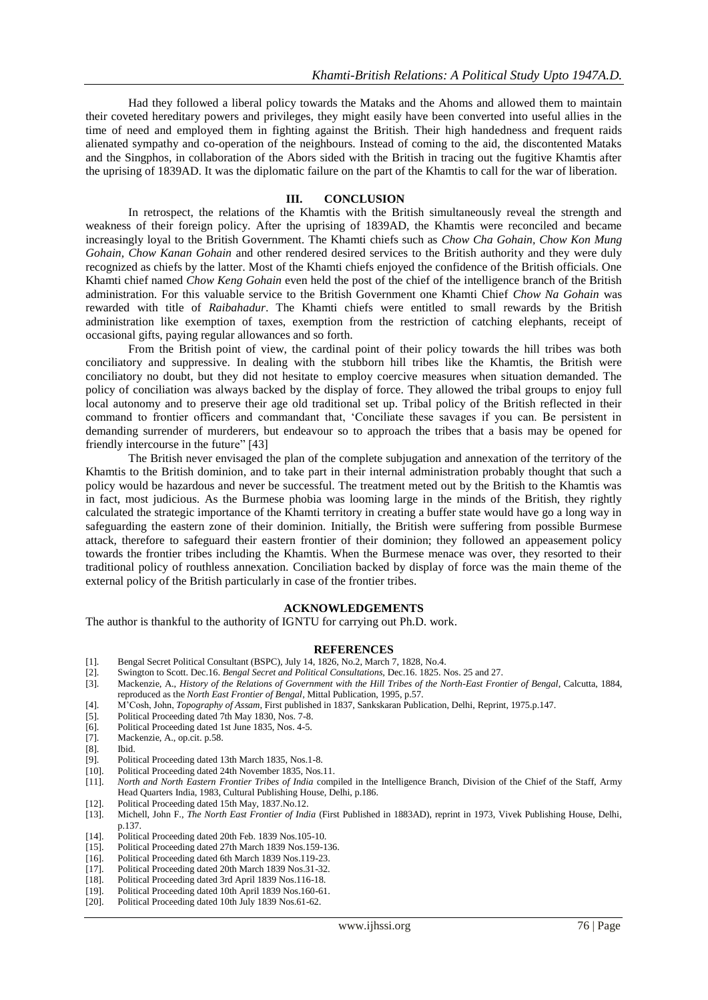Had they followed a liberal policy towards the Mataks and the Ahoms and allowed them to maintain their coveted hereditary powers and privileges, they might easily have been converted into useful allies in the time of need and employed them in fighting against the British. Their high handedness and frequent raids alienated sympathy and co-operation of the neighbours. Instead of coming to the aid, the discontented Mataks and the Singphos, in collaboration of the Abors sided with the British in tracing out the fugitive Khamtis after the uprising of 1839AD. It was the diplomatic failure on the part of the Khamtis to call for the war of liberation.

#### **III. CONCLUSION**

In retrospect, the relations of the Khamtis with the British simultaneously reveal the strength and weakness of their foreign policy. After the uprising of 1839AD, the Khamtis were reconciled and became increasingly loyal to the British Government. The Khamti chiefs such as *Chow Cha Gohain, Chow Kon Mung Gohain, Chow Kanan Gohain* and other rendered desired services to the British authority and they were duly recognized as chiefs by the latter. Most of the Khamti chiefs enjoyed the confidence of the British officials. One Khamti chief named *Chow Keng Gohain* even held the post of the chief of the intelligence branch of the British administration. For this valuable service to the British Government one Khamti Chief *Chow Na Gohain* was rewarded with title of *Raibahadur*. The Khamti chiefs were entitled to small rewards by the British administration like exemption of taxes, exemption from the restriction of catching elephants, receipt of occasional gifts, paying regular allowances and so forth.

From the British point of view, the cardinal point of their policy towards the hill tribes was both conciliatory and suppressive. In dealing with the stubborn hill tribes like the Khamtis, the British were conciliatory no doubt, but they did not hesitate to employ coercive measures when situation demanded. The policy of conciliation was always backed by the display of force. They allowed the tribal groups to enjoy full local autonomy and to preserve their age old traditional set up. Tribal policy of the British reflected in their command to frontier officers and commandant that, "Conciliate these savages if you can. Be persistent in demanding surrender of murderers, but endeavour so to approach the tribes that a basis may be opened for friendly intercourse in the future" [43]

The British never envisaged the plan of the complete subjugation and annexation of the territory of the Khamtis to the British dominion, and to take part in their internal administration probably thought that such a policy would be hazardous and never be successful. The treatment meted out by the British to the Khamtis was in fact, most judicious. As the Burmese phobia was looming large in the minds of the British, they rightly calculated the strategic importance of the Khamti territory in creating a buffer state would have go a long way in safeguarding the eastern zone of their dominion. Initially, the British were suffering from possible Burmese attack, therefore to safeguard their eastern frontier of their dominion; they followed an appeasement policy towards the frontier tribes including the Khamtis. When the Burmese menace was over, they resorted to their traditional policy of routhless annexation. Conciliation backed by display of force was the main theme of the external policy of the British particularly in case of the frontier tribes.

#### **ACKNOWLEDGEMENTS**

The author is thankful to the authority of IGNTU for carrying out Ph.D. work.

#### **REFERENCES**

- [1]. Bengal Secret Political Consultant (BSPC), July 14, 1826, No.2, March 7, 1828, No.4.
- [2]. Swington to Scott. Dec.16. *Bengal Secret and Political Consultations,* Dec.16. 1825. Nos. 25 and 27.
- [3]. Mackenzie, A., *History of the Relations of Government with the Hill Tribes of the North-East Frontier of Bengal*, Calcutta, 1884, reproduced as the *North East Frontier of Bengal*, Mittal Publication, 1995, p.57.
- [4]. M"Cosh, John, *Topography of Assam*, First published in 1837, Sankskaran Publication, Delhi, Reprint, 1975.p.147.
- Political Proceeding dated 7th May 1830, Nos. 7-8.
- [6]. Political Proceeding dated 1st June 1835, Nos. 4-5.<br>[7]. Mackenzie, A., op.cit. p.58.
- Mackenzie, A., op.cit. p.58.
- 
- [8]. Ibid. [9]. Political Proceeding dated 13th March 1835, Nos.1-8.<br>[10]. Political Proceeding dated 24th November 1835, Nos.
- Political Proceeding dated 24th November 1835, Nos.11.
- [11]. *North and North Eastern Frontier Tribes of India* compiled in the Intelligence Branch, Division of the Chief of the Staff, Army Head Quarters India, 1983, Cultural Publishing House, Delhi, p.186.
- [12]. Political Proceeding dated 15th May, 1837.No.12.<br>[13]. Michell, John F., The North East Frontier of Ind.
- [13]. Michell, John F., *The North East Frontier of India* (First Published in 1883AD), reprint in 1973, Vivek Publishing House, Delhi, p.137.
- [14]. Political Proceeding dated 20th Feb. 1839 Nos.105-10.<br>[15]. Political Proceeding dated 27th March 1839 Nos.159-1
- Political Proceeding dated 27th March 1839 Nos.159-136.
- [16]. Political Proceeding dated 6th March 1839 Nos.119-23.
- [17]. Political Proceeding dated 20th March 1839 Nos.31-32.
- [18]. Political Proceeding dated 3rd April 1839 Nos.116-18.
- Political Proceeding dated 10th April 1839 Nos.160-61.
- [20]. Political Proceeding dated 10th July 1839 Nos.61-62.